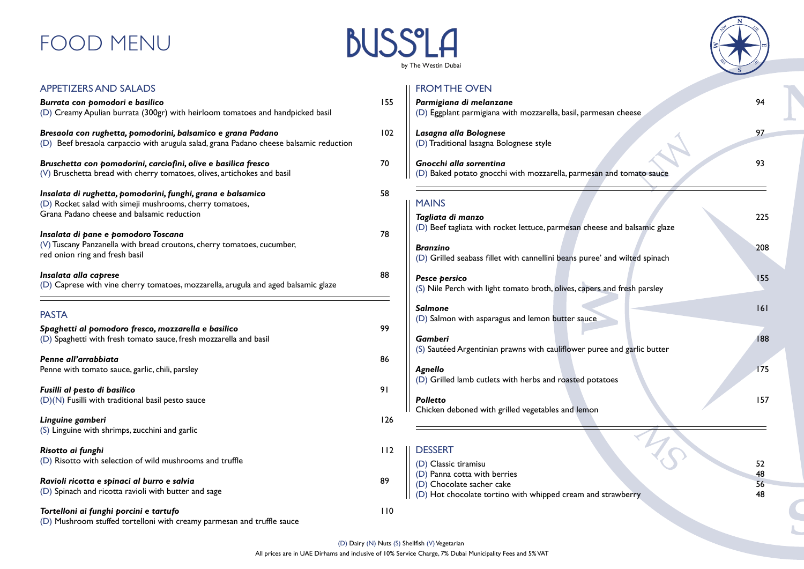| <b>APPETIZERS AND SALADS</b>                                                                                                                                          |     |
|-----------------------------------------------------------------------------------------------------------------------------------------------------------------------|-----|
| Burrata con pomodori e basilico<br>(D) Creamy Apulian burrata (300gr) with heirloom tomatoes and handpicked basil                                                     | 155 |
| Bresaola con rughetta, pomodorini, balsamico e grana Padano<br>(D) Beef bresaola carpaccio with arugula salad, grana Padano cheese balsamic reduction                 | 102 |
| Bruschetta con pomodorini, carciofini, olive e basilica fresco<br>(V) Bruschetta bread with cherry tomatoes, olives, artichokes and basil                             | 70  |
| Insalata di rughetta, pomodorini, funghi, grana e balsamico<br>(D) Rocket salad with simeji mushrooms, cherry tomatoes,<br>Grana Padano cheese and balsamic reduction | 58  |
| Insalata di pane e pomodoro Toscana<br>(V) Tuscany Panzanella with bread croutons, cherry tomatoes, cucumber,<br>red onion ring and fresh basil                       | 78  |
| Insalata alla caprese<br>(D) Caprese with vine cherry tomatoes, mozzarella, arugula and aged balsamic glaze                                                           | 88  |
| <b>PASTA</b>                                                                                                                                                          |     |
| Spaghetti al pomodoro fresco, mozzarella e basilico<br>(D) Spaghetti with fresh tomato sauce, fresh mozzarella and basil                                              | 99  |
| Penne all'arrabbiata<br>Penne with tomato sauce, garlic, chili, parsley                                                                                               | 86  |
| Fusilli al pesto di basilico<br>(D)(N) Fusilli with traditional basil pesto sauce                                                                                     | 91  |
| Linguine gamberi<br>(S) Linguine with shrimps, zucchini and garlic                                                                                                    | 126 |
| Risotto ai funghi                                                                                                                                                     | 112 |

**Ravioli ricotta e spinaci al burro e salvia** 89

(D) Risotto with selection of wild mushrooms and truffle

### **BUSS'LA** by The Westin Dubai

(D) Spinach and ricotta ravioli with butter and sage

*Tortelloni ai funghi porcini e tartufo* 110 (D) Mushroom stuffed tortelloni with creamy parmesan and truffle sauce

### FROM THE OVEN

| Parmigiana di melanzane<br>(D) Eggplant parmigiana with mozzarella, basil, parmesan cheese     | 94       |
|------------------------------------------------------------------------------------------------|----------|
| Lasagna alla Bolognese<br>(D) Traditional lasagna Bolognese style                              | 97       |
| Gnocchi alla sorrentina<br>(D) Baked potato gnocchi with mozzarella, parmesan and tomato sauce | 93       |
| <b>MAINS</b>                                                                                   |          |
| Tagliata di manzo<br>(D) Beef tagliata with rocket lettuce, parmesan cheese and balsamic glaze | 225      |
| <b>Branzino</b><br>(D) Grilled seabass fillet with cannellini beans puree' and wilted spinach  | 208      |
| Pesce persico<br>(S) Nile Perch with light tomato broth, olives, capers and fresh parsley      | 155      |
| <b>Salmone</b><br>(D) Salmon with asparagus and lemon butter sauce                             | 6        |
| <b>Gamberi</b><br>(S) Sautéed Argentinian prawns with cauliflower puree and garlic butter      | 188      |
| Agnello<br>(D) Grilled lamb cutlets with herbs and roasted potatoes                            | 175      |
| <b>Polletto</b><br>Chicken deboned with grilled vegetables and lemon                           | 157      |
|                                                                                                |          |
| <b>DESSERT</b>                                                                                 |          |
| (D) Classic tiramisu                                                                           | 52       |
| (D) Panna cotta with berries<br>(D) Chocolate sacher cake                                      | 48<br>56 |
| (D) Hot chocolate tortino with whipped cream and strawberry                                    | 48       |



# FOOD MENU